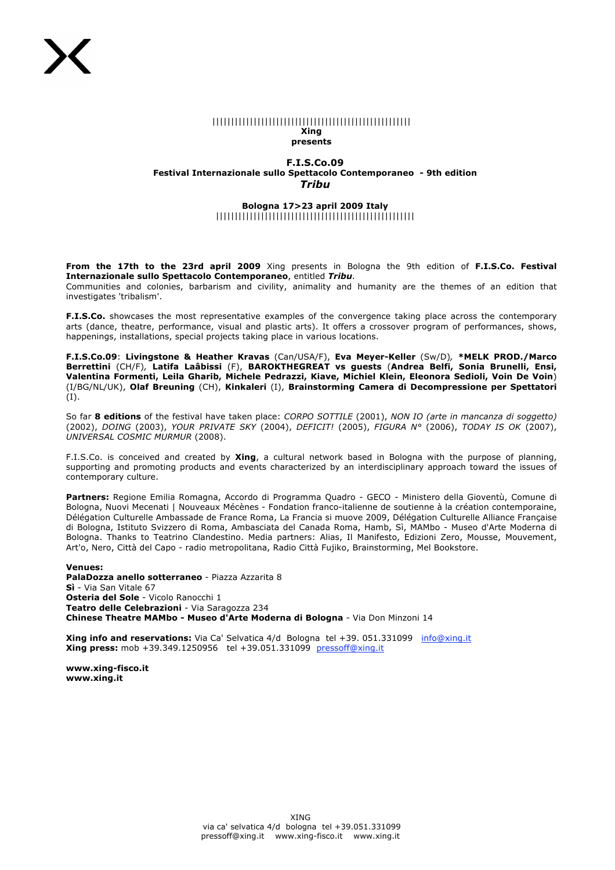#### |||||||||||||||||||||||||||||||||||||||||||||||||||||

#### **Xing presents**

## **F.I.S.Co.09 Festival Internazionale sullo Spettacolo Contemporaneo - 9th edition** *Tribu*

## **Bologna 17>23 april 2009 Italy** |||||||||||||||||||||||||||||||||||||||||||||||||||||

**From the 17th to the 23rd april 2009** Xing presents in Bologna the 9th edition of **F.I.S.Co. Festival Internazionale sullo Spettacolo Contemporaneo**, entitled *Tribu.*

Communities and colonies, barbarism and civility, animality and humanity are the themes of an edition that investigates 'tribalism'.

**F.I.S.Co.** showcases the most representative examples of the convergence taking place across the contemporary arts (dance, theatre, performance, visual and plastic arts). It offers a crossover program of performances, shows, happenings, installations, special projects taking place in various locations.

**F.I.S.Co.09**: **Livingstone & Heather Kravas** (Can/USA/F), **Eva Meyer-Keller** (Sw/D)*,* **\*MELK PROD./Marco Berrettini** (CH/F)*,* **Latifa Laâbissi** (F), **BAROKTHEGREAT vs guests** (**Andrea Belfi, Sonia Brunelli, Ensi, Valentina Formenti, Leila Gharib, Michele Pedrazzi, Kiave, Michiel Klein, Eleonora Sedioli, Voin De Voin**) (I/BG/NL/UK), **Olaf Breuning** (CH), **Kinkaleri** (I), **Brainstorming Camera di Decompressione per Spettatori**  (I).

So far **8 editions** of the festival have taken place: *CORPO SOTTILE* (2001), *NON IO (arte in mancanza di soggetto)* (2002), *DOING* (2003), *YOUR PRIVATE SKY* (2004), *DEFICIT!* (2005), *FIGURA N°* (2006), *TODAY IS OK* (2007), *UNIVERSAL COSMIC MURMUR* (2008).

F.I.S.Co. is conceived and created by **Xing**, a cultural network based in Bologna with the purpose of planning, supporting and promoting products and events characterized by an interdisciplinary approach toward the issues of contemporary culture.

**Partners:** Regione Emilia Romagna, Accordo di Programma Quadro - GECO - Ministero della Gioventù, Comune di Bologna, Nuovi Mecenati | Nouveaux Mécènes - Fondation franco-italienne de soutienne à la création contemporaine, Délégation Culturelle Ambassade de France Roma, La Francia si muove 2009, Délégation Culturelle Alliance Française di Bologna, Istituto Svizzero di Roma, Ambasciata del Canada Roma, Hamb, Sì, MAMbo - Museo d'Arte Moderna di Bologna. Thanks to Teatrino Clandestino. Media partners: Alias, Il Manifesto, Edizioni Zero, Mousse, Mouvement, Art'o, Nero, Città del Capo - radio metropolitana, Radio Città Fujiko, Brainstorming, Mel Bookstore.

#### **Venues:**

**PalaDozza anello sotterraneo** - Piazza Azzarita 8 **Sì** - Via San Vitale 67 **Osteria del Sole** - Vicolo Ranocchi 1 **Teatro delle Celebrazioni** - Via Saragozza 234 **Chinese Theatre MAMbo - Museo d'Arte Moderna di Bologna** - Via Don Minzoni 14

**Xing info and reservations:** Via Ca' Selvatica 4/d Bologna tel +39. 051.331099 info@xing.it **Xing press:** mob +39.349.1250956 tel +39.051.331099 pressoff@xing.it

**www.xing-fisco.it www.xing.it**